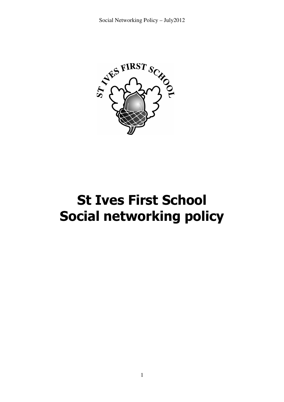

# St Ives First School Social networking policy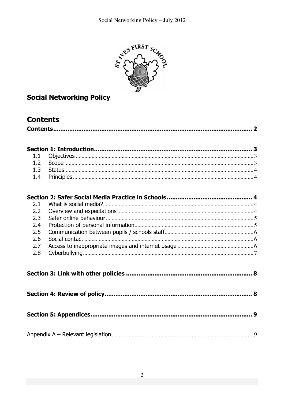

# **Social Networking Policy**

# **Contents**

|--|--|

| 2.1              |   |
|------------------|---|
| $2.2\phantom{0}$ |   |
| 2.3              |   |
| 2.4              |   |
| 2.5              |   |
| 2.6              |   |
| 2.7              |   |
| 2.8              |   |
|                  |   |
|                  |   |
|                  | 9 |
|                  |   |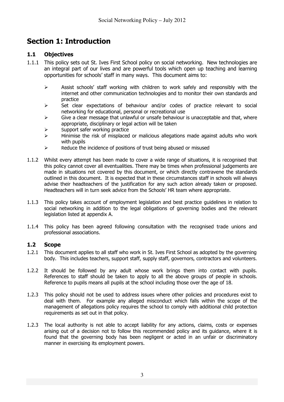# Section 1: Introduction

# 1.1 Objectives

- 1.1.1 This policy sets out St. Ives First School policy on social networking. New technologies are an integral part of our lives and are powerful tools which open up teaching and learning opportunities for schools' staff in many ways. This document aims to:
	- $\triangleright$  Assist schools' staff working with children to work safely and responsibly with the internet and other communication technologies and to monitor their own standards and practice
	- $\triangleright$  Set clear expectations of behaviour and/or codes of practice relevant to social networking for educational, personal or recreational use
	- $\triangleright$  Give a clear message that unlawful or unsafe behaviour is unacceptable and that, where appropriate, disciplinary or legal action will be taken
	- $\triangleright$  Support safer working practice
	- $\triangleright$  Minimise the risk of misplaced or malicious allegations made against adults who work with pupils
	- $\triangleright$  Reduce the incidence of positions of trust being abused or misused
- 1.1.2 Whilst every attempt has been made to cover a wide range of situations, it is recognised that this policy cannot cover all eventualities. There may be times when professional judgements are made in situations not covered by this document, or which directly contravene the standards outlined in this document. It is expected that in these circumstances staff in schools will always advise their headteachers of the justification for any such action already taken or proposed. Headteachers will in turn seek advice from the Schools' HR team where appropriate.
- 1.1.3 This policy takes account of employment legislation and best practice guidelines in relation to social networking in addition to the legal obligations of governing bodies and the relevant legislation listed at appendix A.
- 1.1.4 This policy has been agreed following consultation with the recognised trade unions and professional associations.

# 1.2 Scope

- 1.2.1 This document applies to all staff who work in St. Ives First School as adopted by the governing body. This includes teachers, support staff, supply staff, governors, contractors and volunteers.
- 1.2.2 It should be followed by any adult whose work brings them into contact with pupils. References to staff should be taken to apply to all the above groups of people in schools. Reference to pupils means all pupils at the school including those over the age of 18.
- 1.2.3 This policy should not be used to address issues where other policies and procedures exist to deal with them. For example any alleged misconduct which falls within the scope of the management of allegations policy requires the school to comply with additional child protection requirements as set out in that policy.
- 1.2.3 The local authority is not able to accept liability for any actions, claims, costs or expenses arising out of a decision not to follow this recommended policy and its guidance, where it is found that the governing body has been negligent or acted in an unfair or discriminatory manner in exercising its employment powers.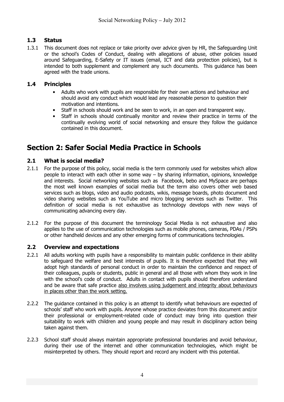# 1.3 Status

1.3.1 This document does not replace or take priority over advice given by HR, the Safeguarding Unit or the school's Codes of Conduct, dealing with allegations of abuse, other policies issued around Safeguarding, E-Safety or IT issues (email, ICT and data protection policies), but is intended to both supplement and complement any such documents. This guidance has been agreed with the trade unions.

# 1.4 Principles

- Adults who work with pupils are responsible for their own actions and behaviour and should avoid any conduct which would lead any reasonable person to question their motivation and intentions.
- Staff in schools should work and be seen to work, in an open and transparent way.
- Staff in schools should continually monitor and review their practice in terms of the continually evolving world of social networking and ensure they follow the guidance contained in this document.

# Section 2: Safer Social Media Practice in Schools

# 2.1 What is social media?

- 2.1.1 For the purpose of this policy, social media is the term commonly used for websites which allow people to interact with each other in some way – by sharing information, opinions, knowledge and interests. Social networking websites such as Facebook, bebo and MySpace are perhaps the most well known examples of social media but the term also covers other web based services such as blogs, video and audio podcasts, wikis, message boards, photo document and video sharing websites such as YouTube and micro blogging services such as Twitter. This definition of social media is not exhaustive as technology develops with new ways of communicating advancing every day.
- 2.1.2 For the purpose of this document the terminology Social Media is not exhaustive and also applies to the use of communication technologies such as mobile phones, cameras, PDAs / PSPs or other handheld devices and any other emerging forms of communications technologies.

# 2.2 Overview and expectations

- 2.2.1 All adults working with pupils have a responsibility to maintain public confidence in their ability to safeguard the welfare and best interests of pupils. It is therefore expected that they will adopt high standards of personal conduct in order to maintain the confidence and respect of their colleagues, pupils or students, public in general and all those with whom they work in line with the school's code of conduct. Adults in contact with pupils should therefore understand and be aware that safe practice also involves using judgement and integrity about behaviours in places other than the work setting.
- 2.2.2 The guidance contained in this policy is an attempt to identify what behaviours are expected of schools' staff who work with pupils. Anyone whose practice deviates from this document and/or their professional or employment-related code of conduct may bring into question their suitability to work with children and young people and may result in disciplinary action being taken against them.
- 2.2.3 School staff should always maintain appropriate professional boundaries and avoid behaviour, during their use of the internet and other communication technologies, which might be misinterpreted by others. They should report and record any incident with this potential.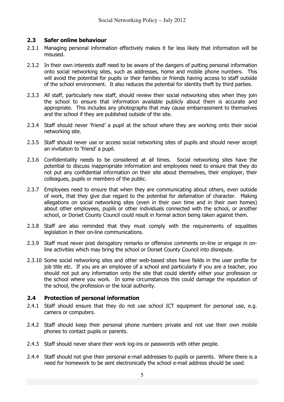# 2.3 Safer online behaviour

- 2.3.1 Managing personal information effectively makes it far less likely that information will be misused.
- 2.3.2 In their own interests staff need to be aware of the dangers of putting personal information onto social networking sites, such as addresses, home and mobile phone numbers. This will avoid the potential for pupils or their families or friends having access to staff outside of the school environment. It also reduces the potential for identity theft by third parties.
- 2.3.3 All staff, particularly new staff, should review their social networking sites when they join the school to ensure that information available publicly about them is accurate and appropriate. This includes any photographs that may cause embarrassment to themselves and the school if they are published outside of the site.
- 2.3.4 Staff should never 'friend' a pupil at the school where they are working onto their social networking site.
- 2.3.5 Staff should never use or access social networking sites of pupils and should never accept an invitation to 'friend' a pupil.
- 2.3.6 Confidentiality needs to be considered at all times. Social networking sites have the potential to discuss inappropriate information and employees need to ensure that they do not put any confidential information on their site about themselves, their employer, their colleagues, pupils or members of the public.
- 2.3.7 Employees need to ensure that when they are communicating about others, even outside of work, that they give due regard to the potential for defamation of character. Making allegations on social networking sites (even in their own time and in their own homes) about other employees, pupils or other individuals connected with the school, or another school, or Dorset County Council could result in formal action being taken against them.
- 2.3.8 Staff are also reminded that they must comply with the requirements of equalities legislation in their on-line communications.
- 2.3.9 Staff must never post derogatory remarks or offensive comments on-line or engage in online activities which may bring the school or Dorset County Council into disrepute.
- 2.3.10 Some social networking sites and other web-based sites have fields in the user profile for job title etc. If you are an employee of a school and particularly if you are a teacher, you should not put any information onto the site that could identify either your profession or the school where you work. In some circumstances this could damage the reputation of the school, the profession or the local authority.

# 2.4 Protection of personal information

- 2.4.1 Staff should ensure that they do not use school ICT equipment for personal use, e.g. camera or computers.
- 2.4.2 Staff should keep their personal phone numbers private and not use their own mobile phones to contact pupils or parents.
- 2.4.3 Staff should never share their work log-ins or passwords with other people.
- 2.4.4 Staff should not give their personal e-mail addresses to pupils or parents. Where there is a need for homework to be sent electronically the school e-mail address should be used.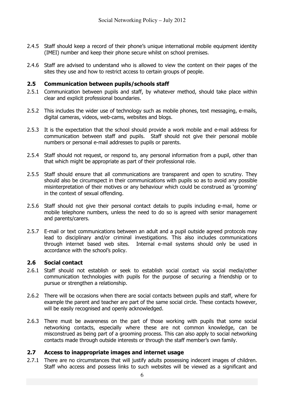- 2.4.5 Staff should keep a record of their phone's unique international mobile equipment identity (IMEI) number and keep their phone secure whilst on school premises.
- 2.4.6 Staff are advised to understand who is allowed to view the content on their pages of the sites they use and how to restrict access to certain groups of people.

# 2.5 Communication between pupils/schools staff

- 2.5.1 Communication between pupils and staff, by whatever method, should take place within clear and explicit professional boundaries.
- 2.5.2 This includes the wider use of technology such as mobile phones, text messaging, e-mails, digital cameras, videos, web-cams, websites and blogs.
- 2.5.3 It is the expectation that the school should provide a work mobile and e-mail address for communication between staff and pupils. Staff should not give their personal mobile numbers or personal e-mail addresses to pupils or parents.
- 2.5.4 Staff should not request, or respond to, any personal information from a pupil, other than that which might be appropriate as part of their professional role.
- 2.5.5 Staff should ensure that all communications are transparent and open to scrutiny. They should also be circumspect in their communications with pupils so as to avoid any possible misinterpretation of their motives or any behaviour which could be construed as 'grooming' in the context of sexual offending.
- 2.5.6 Staff should not give their personal contact details to pupils including e-mail, home or mobile telephone numbers, unless the need to do so is agreed with senior management and parents/carers.
- 2.5.7 E-mail or text communications between an adult and a pupil outside agreed protocols may lead to disciplinary and/or criminal investigations. This also includes communications through internet based web sites. Internal e-mail systems should only be used in accordance with the school's policy.

# 2.6 Social contact

- 2.6.1 Staff should not establish or seek to establish social contact via social media/other communication technologies with pupils for the purpose of securing a friendship or to pursue or strengthen a relationship.
- 2.6.2 There will be occasions when there are social contacts between pupils and staff, where for example the parent and teacher are part of the same social circle. These contacts however, will be easily recognised and openly acknowledged.
- 2.6.3 There must be awareness on the part of those working with pupils that some social networking contacts, especially where these are not common knowledge, can be misconstrued as being part of a grooming process. This can also apply to social networking contacts made through outside interests or through the staff member's own family.

# 2.7 Access to inappropriate images and internet usage

2.7.1 There are no circumstances that will justify adults possessing indecent images of children. Staff who access and possess links to such websites will be viewed as a significant and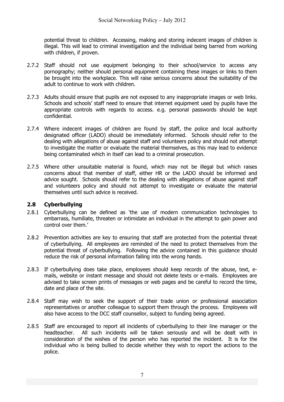potential threat to children. Accessing, making and storing indecent images of children is illegal. This will lead to criminal investigation and the individual being barred from working with children, if proven.

- 2.7.2 Staff should not use equipment belonging to their school/service to access any pornography; neither should personal equipment containing these images or links to them be brought into the workplace. This will raise serious concerns about the suitability of the adult to continue to work with children.
- 2.7.3 Adults should ensure that pupils are not exposed to any inappropriate images or web links. Schools and schools' staff need to ensure that internet equipment used by pupils have the appropriate controls with regards to access. e.g. personal passwords should be kept confidential.
- 2.7.4 Where indecent images of children are found by staff, the police and local authority designated officer (LADO) should be immediately informed. Schools should refer to the dealing with allegations of abuse against staff and volunteers policy and should not attempt to investigate the matter or evaluate the material themselves, as this may lead to evidence being contaminated which in itself can lead to a criminal prosecution.
- 2.7.5 Where other unsuitable material is found, which may not be illegal but which raises concerns about that member of staff, either HR or the LADO should be informed and advice sought. Schools should refer to the dealing with allegations of abuse against staff and volunteers policy and should not attempt to investigate or evaluate the material themselves until such advice is received.

# 2.8 Cyberbullying

- 2.8.1 Cyberbullying can be defined as 'the use of modern communication technologies to embarrass, humiliate, threaten or intimidate an individual in the attempt to gain power and control over them.'
- 2.8.2 Prevention activities are key to ensuring that staff are protected from the potential threat of cyberbullying. All employees are reminded of the need to protect themselves from the potential threat of cyberbullying. Following the advice contained in this guidance should reduce the risk of personal information falling into the wrong hands.
- 2.8.3 If cyberbullying does take place, employees should keep records of the abuse, text, emails, website or instant message and should not delete texts or e-mails. Employees are advised to take screen prints of messages or web pages and be careful to record the time, date and place of the site.
- 2.8.4 Staff may wish to seek the support of their trade union or professional association representatives or another colleague to support them through the process. Employees will also have access to the DCC staff counsellor, subject to funding being agreed.
- 2.8.5 Staff are encouraged to report all incidents of cyberbullying to their line manager or the headteacher. All such incidents will be taken seriously and will be dealt with in consideration of the wishes of the person who has reported the incident. It is for the individual who is being bullied to decide whether they wish to report the actions to the police.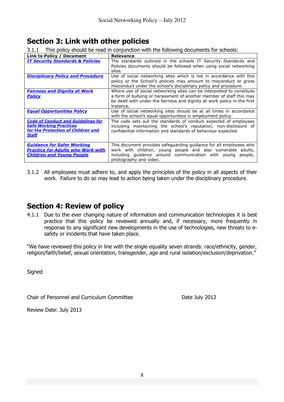# Section 3: Link with other policies

3.1.1 This policy should be read in conjunction with the following documents for schools:

| Link to Policy / Document                   | <b>Relevance</b>                                                                                                                      |
|---------------------------------------------|---------------------------------------------------------------------------------------------------------------------------------------|
| <b>IT Security Standards &amp; Policies</b> | The standards outlined in the schools IT Security Standards and<br>Policies documents should be followed when using social networking |
|                                             | sites.                                                                                                                                |
| <b>Disciplinary Policy and Procedure</b>    | Use of social networking sites which is not in accordance with this                                                                   |
|                                             | policy or the School's policies may amount to misconduct or gross                                                                     |
|                                             | misconduct under the school's disciplinary policy and procedure.                                                                      |
| <b>Fairness and Dignity at Work</b>         | Where use of social networking sites can be interpreted to constitute                                                                 |
| <b>Policy</b>                               | a form of bullying or harassment of another member of staff this may                                                                  |
|                                             | be dealt with under the fairness and dignity at work policy in the first                                                              |
|                                             | instance.                                                                                                                             |
| <b>Equal Opportunities Policy</b>           | Use of social networking sites should be at all times in accordance                                                                   |
|                                             | with the school's equal opportunities in employment policy.                                                                           |
| <b>Code of Conduct and Guidelines for</b>   | The code sets out the standards of conduct expected of employees                                                                      |
| <b>Safe Working Practices</b>               | including maintaining the school's reputation, non-disclosure of                                                                      |
| for the Protection of Children and          | confidential information and standards of behaviour expected.                                                                         |
| Staff                                       |                                                                                                                                       |
|                                             |                                                                                                                                       |
| <b>Guidance for Safer Working</b>           | This document provides safeguarding guidance for all employees who                                                                    |
| <u>Practice for Adults who Work with </u>   | work with children, young people and also vulnerable adults,                                                                          |
| <b>Children and Young People</b>            | including quidance around communication with young<br>people,                                                                         |
|                                             | photography and video.                                                                                                                |

3.1.2 All employees must adhere to, and apply the principles of the policy in all aspects of their work. Failure to do so may lead to action being taken under the disciplinary procedure.

# Section 4: Review of policy

4.1.1 Due to the ever changing nature of information and communication technologies it is best practice that this policy be reviewed annually and, if necessary, more frequently in response to any significant new developments in the use of technologies, new threats to esafety or incidents that have taken place.

"We have reviewed this policy in line with the single equality seven strands: race/ethnicity, gender, religion/faith/belief, sexual orientation, transgender, age and rural isolation/exclusion/deprivation."

**Signed** 

Chair of Personnel and Curriculum Committee Date July 2012

Review Date: July 2013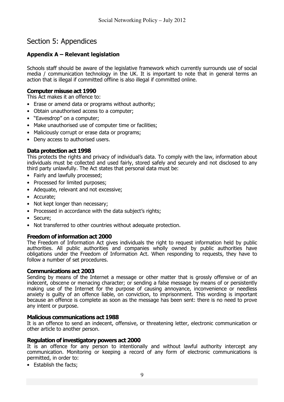# Section 5: Appendices

# Appendix A – Relevant legislation

Schools staff should be aware of the legislative framework which currently surrounds use of social media / communication technology in the UK. It is important to note that in general terms an action that is illegal if committed offline is also illegal if committed online.

# Computer misuse act 1990

This Act makes it an offence to:

- Erase or amend data or programs without authority;
- Obtain unauthorised access to a computer;
- "Eavesdrop" on a computer;
- Make unauthorised use of computer time or facilities:
- Maliciously corrupt or erase data or programs;
- Deny access to authorised users.

## Data protection act 1998

This protects the rights and privacy of individual's data. To comply with the law, information about individuals must be collected and used fairly, stored safely and securely and not disclosed to any third party unlawfully. The Act states that personal data must be:

- Fairly and lawfully processed;
- Processed for limited purposes;
- Adequate, relevant and not excessive;
- Accurate;
- Not kept longer than necessary;
- Processed in accordance with the data subject's rights;
- Secure;
- Not transferred to other countries without adequate protection.

#### Freedom of information act 2000

The Freedom of Information Act gives individuals the right to request information held by public authorities. All public authorities and companies wholly owned by public authorities have obligations under the Freedom of Information Act. When responding to requests, they have to follow a number of set procedures.

#### Communications act 2003

Sending by means of the Internet a message or other matter that is grossly offensive or of an indecent, obscene or menacing character; or sending a false message by means of or persistently making use of the Internet for the purpose of causing annoyance, inconvenience or needless anxiety is guilty of an offence liable, on conviction, to imprisonment. This wording is important because an offence is complete as soon as the message has been sent: there is no need to prove any intent or purpose.

#### Malicious communications act 1988

It is an offence to send an indecent, offensive, or threatening letter, electronic communication or other article to another person.

#### Regulation of investigatory powers act 2000

It is an offence for any person to intentionally and without lawful authority intercept any communication. Monitoring or keeping a record of any form of electronic communications is permitted, in order to:

• Establish the facts;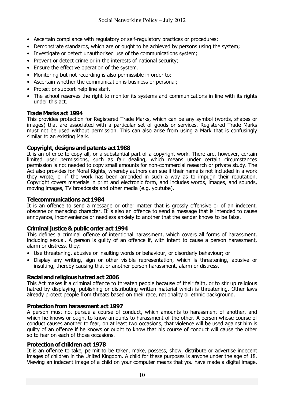- Ascertain compliance with regulatory or self-regulatory practices or procedures;
- Demonstrate standards, which are or ought to be achieved by persons using the system;
- Investigate or detect unauthorised use of the communications system;
- Prevent or detect crime or in the interests of national security;
- Ensure the effective operation of the system.
- Monitoring but not recording is also permissible in order to:
- Ascertain whether the communication is business or personal;
- Protect or support help line staff.
- The school reserves the right to monitor its systems and communications in line with its rights under this act.

## Trade Marks act 1994

This provides protection for Registered Trade Marks, which can be any symbol (words, shapes or images) that are associated with a particular set of goods or services. Registered Trade Marks must not be used without permission. This can also arise from using a Mark that is confusingly similar to an existing Mark.

## Copyright, designs and patents act 1988

It is an offence to copy all, or a substantial part of a copyright work. There are, however, certain limited user permissions, such as fair dealing, which means under certain circumstances permission is not needed to copy small amounts for non-commercial research or private study. The Act also provides for Moral Rights, whereby authors can sue if their name is not included in a work they wrote, or if the work has been amended in such a way as to impugn their reputation. Copyright covers materials in print and electronic form, and includes words, images, and sounds, moving images, TV broadcasts and other media (e.g. youtube).

### Telecommunications act 1984

It is an offence to send a message or other matter that is grossly offensive or of an indecent, obscene or menacing character. It is also an offence to send a message that is intended to cause annoyance, inconvenience or needless anxiety to another that the sender knows to be false.

#### Criminal justice & public order act 1994

This defines a criminal offence of intentional harassment, which covers all forms of harassment, including sexual. A person is guilty of an offence if, with intent to cause a person harassment, alarm or distress, they: -

- Use threatening, abusive or insulting words or behaviour, or disorderly behaviour; or
- Display any writing, sign or other visible representation, which is threatening, abusive or insulting, thereby causing that or another person harassment, alarm or distress.

#### Racial and religious hatred act 2006

This Act makes it a criminal offence to threaten people because of their faith, or to stir up religious hatred by displaying, publishing or distributing written material which is threatening. Other laws already protect people from threats based on their race, nationality or ethnic background.

#### Protection from harassment act 1997

A person must not pursue a course of conduct, which amounts to harassment of another, and which he knows or ought to know amounts to harassment of the other. A person whose course of conduct causes another to fear, on at least two occasions, that violence will be used against him is guilty of an offence if he knows or ought to know that his course of conduct will cause the other so to fear on each of those occasions.

### Protection of children act 1978

It is an offence to take, permit to be taken, make, possess, show, distribute or advertise indecent images of children in the United Kingdom. A child for these purposes is anyone under the age of 18. Viewing an indecent image of a child on your computer means that you have made a digital image.